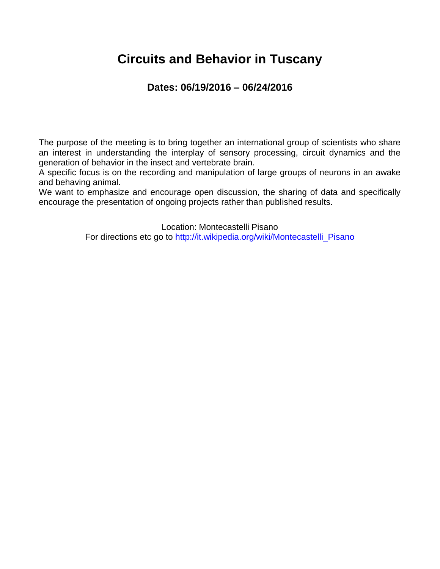### **Circuits and Behavior in Tuscany**

### **Dates: 06/19/2016 – 06/24/2016**

The purpose of the meeting is to bring together an international group of scientists who share an interest in understanding the interplay of sensory processing, circuit dynamics and the generation of behavior in the insect and vertebrate brain.

A specific focus is on the recording and manipulation of large groups of neurons in an awake and behaving animal.

We want to emphasize and encourage open discussion, the sharing of data and specifically encourage the presentation of ongoing projects rather than published results.

> Location: Montecastelli Pisano For directions etc go to [http://it.wikipedia.org/wiki/Montecastelli\\_Pisano](http://it.wikipedia.org/wiki/Montecastelli_Pisano)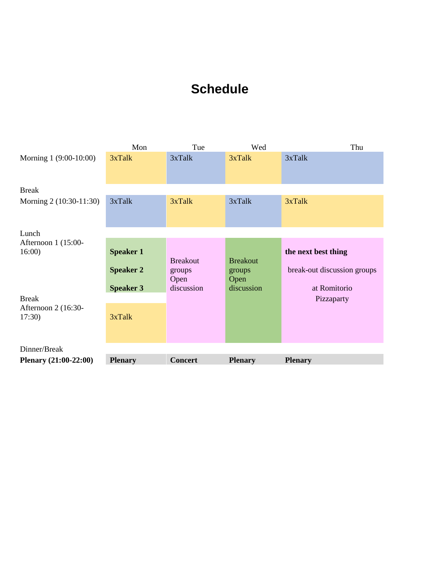### **Schedule**

|                         | Mon              | Tue                               | Wed                               | Thu                         |
|-------------------------|------------------|-----------------------------------|-----------------------------------|-----------------------------|
| Morning 1 (9:00-10:00)  | 3xTalk           | 3xTalk                            | 3xTalk                            | 3xTalk                      |
| <b>Break</b>            |                  |                                   |                                   |                             |
| Morning 2 (10:30-11:30) | 3xTalk           | 3xTalk                            | 3xTalk                            | 3xTalk                      |
| Lunch                   |                  |                                   |                                   |                             |
| Afternoon 1 (15:00-     |                  |                                   |                                   |                             |
| 16:00                   | <b>Speaker 1</b> |                                   |                                   | the next best thing         |
|                         | <b>Speaker 2</b> | <b>Breakout</b><br>groups<br>Open | <b>Breakout</b><br>groups<br>Open | break-out discussion groups |
|                         | <b>Speaker 3</b> | discussion                        | discussion                        | at Romitorio                |
| <b>Break</b>            |                  |                                   |                                   | Pizzaparty                  |
| Afternoon 2 (16:30-     |                  |                                   |                                   |                             |
| 17:30                   | 3xTalk           |                                   |                                   |                             |
| Dinner/Break            |                  |                                   |                                   |                             |
| Plenary (21:00-22:00)   | <b>Plenary</b>   | <b>Concert</b>                    | <b>Plenary</b>                    | <b>Plenary</b>              |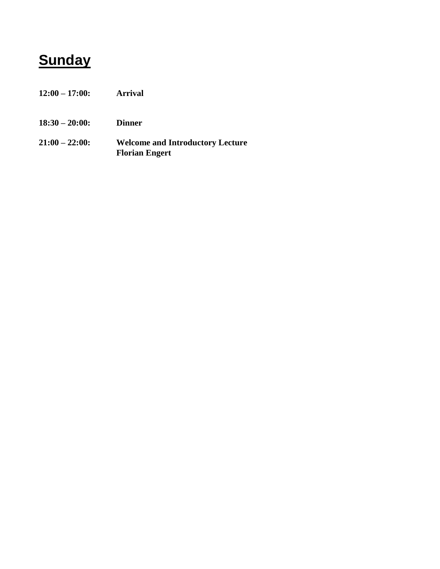# **Sunday**

- **12:00 – 17:00: Arrival**
- **18:30 – 20:00: Dinner**
- **21:00 – 22:00: Welcome and Introductory Lecture Florian Engert**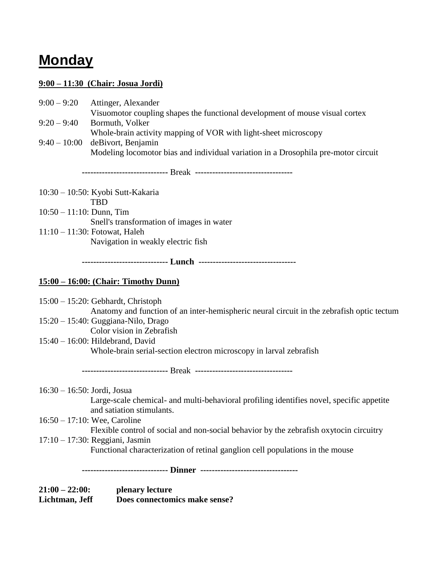## **Monday**

#### **9:00 – 11:30 (Chair: Josua Jordi)**

|                                           | $9:00 - 9:20$ Attinger, Alexander<br>Visuomotor coupling shapes the functional development of mouse visual cortex |  |  |
|-------------------------------------------|-------------------------------------------------------------------------------------------------------------------|--|--|
| $9:20 - 9:40$                             | Bormuth, Volker                                                                                                   |  |  |
|                                           | Whole-brain activity mapping of VOR with light-sheet microscopy                                                   |  |  |
|                                           | $9:40-10:00$ deBivort, Benjamin                                                                                   |  |  |
|                                           | Modeling locomotor bias and individual variation in a Drosophila pre-motor circuit                                |  |  |
|                                           |                                                                                                                   |  |  |
|                                           | 10:30 – 10:50: Kyobi Sutt-Kakaria                                                                                 |  |  |
|                                           | <b>TBD</b>                                                                                                        |  |  |
| $10:50 - 11:10$ : Dunn, Tim               |                                                                                                                   |  |  |
| Snell's transformation of images in water |                                                                                                                   |  |  |
|                                           | $11:10 - 11:30$ : Fotowat, Haleh                                                                                  |  |  |
|                                           | Navigation in weakly electric fish                                                                                |  |  |
|                                           | ------------------------------ Lunch ----------------------------------                                           |  |  |

#### **15:00 – 16:00: (Chair: Timothy Dunn)**

15:00 – 15:20: Gebhardt, Christoph Anatomy and function of an inter-hemispheric neural circuit in the zebrafish optic tectum

- 15:20 15:40: Guggiana-Nilo, Drago
	- Color vision in Zebrafish
- 15:40 16:00: Hildebrand, David Whole-brain serial-section electron microscopy in larval zebrafish

 **------------------------------** Break **----------------------------------**

- 16:30 16:50: Jordi, Josua Large-scale chemical- and multi-behavioral profiling identifies novel, specific appetite and satiation stimulants.
- 16:50 17:10: Wee, Caroline Flexible control of social and non-social behavior by the zebrafish oxytocin circuitry
- 17:10 17:30: Reggiani, Jasmin Functional characterization of retinal ganglion cell populations in the mouse

 **------------------------------ Dinner ----------------------------------**

**21:00 – 22:00: plenary lecture Lichtman, Jeff Does connectomics make sense?**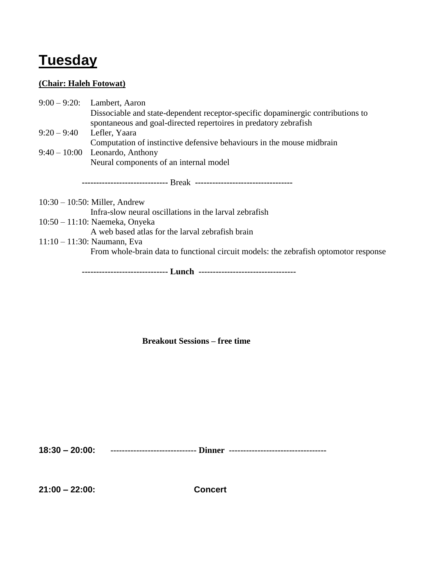# **Tuesday**

#### **(Chair: Haleh Fotowat)**

|               | $9:00-9:20$ : Lambert, Aaron                                                    |
|---------------|---------------------------------------------------------------------------------|
|               | Dissociable and state-dependent receptor-specific dopaminergic contributions to |
|               | spontaneous and goal-directed repertoires in predatory zebrafish                |
| $9:20 - 9:40$ | Lefler, Yaara                                                                   |
|               | Computation of instinctive defensive behaviours in the mouse midbrain           |
|               | $9:40-10:00$ Leonardo, Anthony                                                  |
|               | Neural components of an internal model                                          |
|               |                                                                                 |
|               |                                                                                 |
|               |                                                                                 |
|               | $10:30 - 10:50$ : Miller, Andrew                                                |
|               | Infra-slow neural oscillations in the larval zebrafish                          |
|               | $10:50 - 11:10$ : Naemeka, Onyeka                                               |
|               | A web based atlas for the larval zebrafish brain                                |

From whole-brain data to functional circuit models: the zebrafish optomotor response

 **------------------------------ Lunch ----------------------------------**

**Breakout Sessions – free time**

**18:30 – 20:00: ------------------------------ Dinner ----------------------------------**

**21:00 – 22:00: Concert**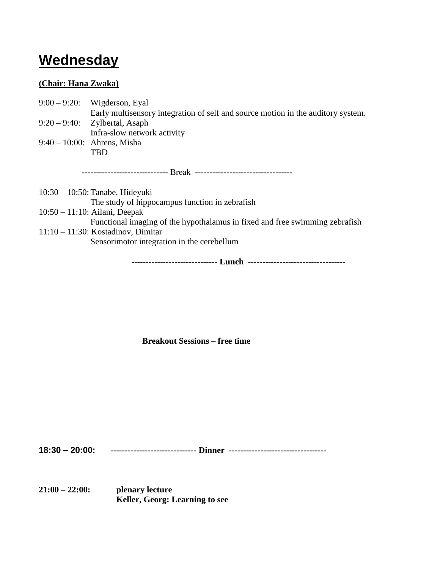## **Wednesday**

#### **(Chair: Hana Zwaka)**

|               | $9:00 - 9:20$ : Wigderson, Eyal                                                  |
|---------------|----------------------------------------------------------------------------------|
|               | Early multisensory integration of self and source motion in the auditory system. |
| $9:20 - 9:40$ | Zylbertal, Asaph                                                                 |
|               | Infra-slow network activity                                                      |
|               | $9:40 - 10:00$ : Ahrens, Misha                                                   |
|               | <b>TBD</b>                                                                       |
|               |                                                                                  |
|               |                                                                                  |
|               | $10:30 - 10:50$ : Tanabe, Hideyuki                                               |
|               | The study of hippocampus function in zebrafish                                   |
|               | $10:50 - 11:10$ : Ailani, Deepak                                                 |
|               | Functional imaging of the hypothalamus in fixed and free swimming zebrafish      |
|               | $11:10 - 11:30$ : Kostadinov, Dimitar                                            |
|               | Sensorimotor integration in the cerebellum                                       |
|               |                                                                                  |

 **------------------------------ Lunch ----------------------------------**

**Breakout Sessions – free time**

**18:30 – 20:00: ------------------------------ Dinner ----------------------------------**

**21:00 – 22:00: plenary lecture Keller, Georg: Learning to see**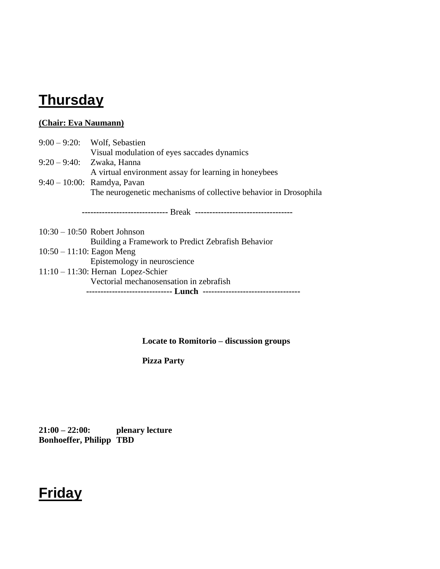### **Thursday**

#### **(Chair: Eva Naumann)**

|                              | $9:00 - 9:20$ : Wolf, Sebastien                                  |
|------------------------------|------------------------------------------------------------------|
|                              | Visual modulation of eyes saccades dynamics                      |
|                              | 9:20 - 9:40: Zwaka, Hanna                                        |
|                              | A virtual environment assay for learning in honeybees            |
|                              | $9:40 - 10:00$ : Ramdya, Pavan                                   |
|                              | The neurogenetic mechanisms of collective behavior in Drosophila |
|                              |                                                                  |
|                              |                                                                  |
|                              |                                                                  |
|                              | $10:30 - 10:50$ Robert Johnson                                   |
|                              | Building a Framework to Predict Zebrafish Behavior               |
| $10:50 - 11:10$ : Eagon Meng |                                                                  |
|                              | Epistemology in neuroscience                                     |
|                              | $11:10 - 11:30$ : Hernan Lopez-Schier                            |
|                              | Vectorial mechanosensation in zebrafish                          |

 **------------------------------ Lunch ----------------------------------**

**Locate to Romitorio – discussion groups**

**Pizza Party**

**21:00 – 22:00: plenary lecture Bonhoeffer, Philipp TBD**

## **Friday**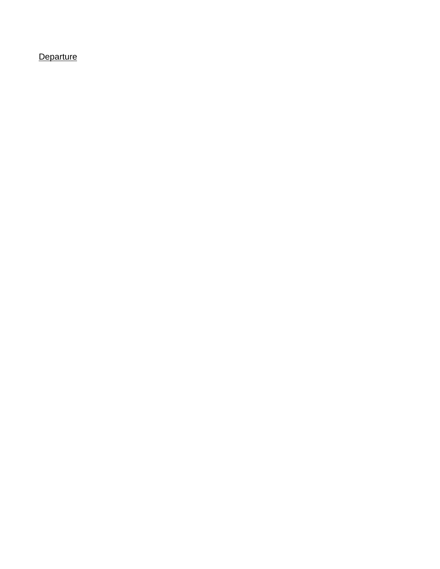### **Departure**